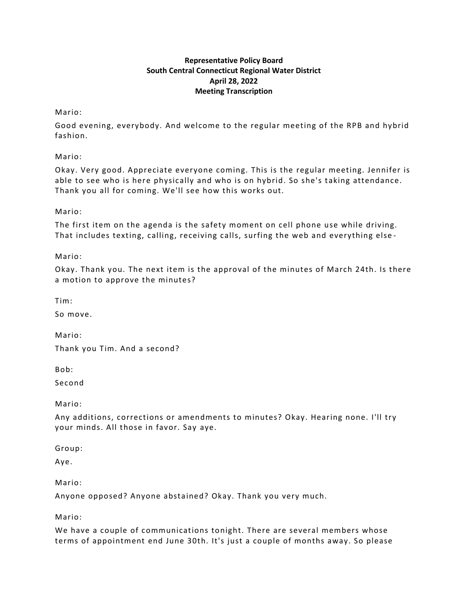# **Representative Policy Board South Central Connecticut Regional Water District April 28, 2022 Meeting Transcription**

Mario:

Good evening, everybody. And welcome to the regular meeting of the RPB and hybrid fashion.

Mario:

Okay. Very good. Appreciate everyone coming. This is the regular meeting. Jennifer is able to see who is here physically and who is on hybrid. So she's taking attendance. Thank you all for coming. We'll see how this works out.

Mario:

The first item on the agenda is the safety moment on cell phone use while driving. That includes texting, calling, receiving calls, surfing the web and everything else -

Mario:

Okay. Thank you. The next item is the approval of the minutes of March 24th. Is there a motion to approve the minutes?

Tim:

So move.

Mario: Thank you Tim. And a second?

Bob:

Second

Mario:

Any additions, corrections or amendments to minutes? Okay. Hearing none. I'll try your minds. All those in favor. Say aye.

Group:

Aye.

Mario:

Anyone opposed? Anyone abstained? Okay. Thank you very much.

Mario:

We have a couple of communications tonight. There are several members whose terms of appointment end June 30th. It's just a couple of months away. So please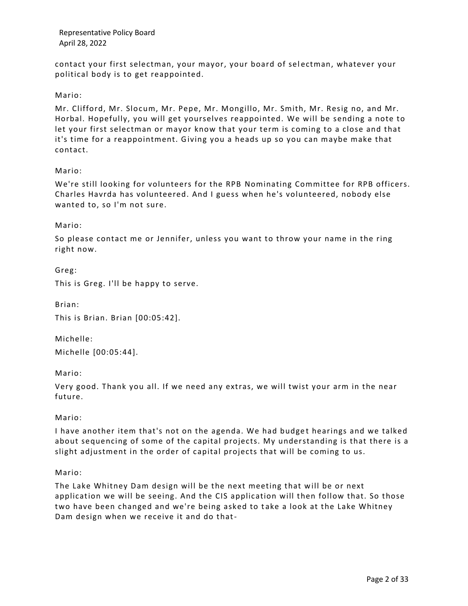contact your first selectman, your mayor, your board of sel ectman, whatever your political body is to get reappointed.

## Mario:

Mr. Clifford, Mr. Slocum, Mr. Pepe, Mr. Mongillo, Mr. Smith, Mr. Resig no, and Mr. Horbal. Hopefully, you will get yourselves reappointed. We will be sending a note to let your first selectman or mayor know that your term is coming to a close and that it's time for a reappointment. Giving you a heads up so you can maybe make that contact.

Mario:

We're still looking for volunteers for the RPB Nominating Committee for RPB officers. Charles Havrda has volunteered. And I guess when he's volunteered, nobody else wanted to, so I'm not sure.

Mario:

Greg:

So please contact me or Jennifer, unless you want to throw your name in the ring right now.

This is Greg. I'll be happy to serve.

Brian: This is Brian. Brian [00:05:42].

Michelle: Michelle [00:05:44].

Mario:

Very good. Thank you all. If we need any extras, we will twist your arm in the near future.

Mario:

I have another item that's not on the agenda. We had budget hearings and we talked about sequencing of some of the capital projects. My understanding is that there is a slight adjustment in the order of capital projects that will be coming to us.

Mario:

The Lake Whitney Dam design will be the next meeting that will be or next application we will be seeing. And the CIS application will then follow that. So those two have been changed and we're being asked to take a look at the Lake Whitney Dam design when we receive it and do that-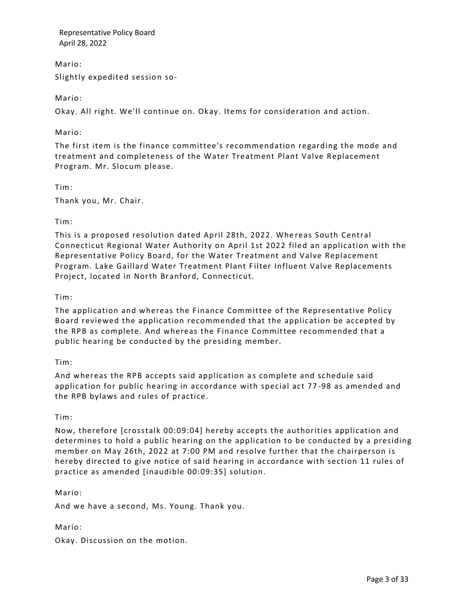Mario: Slightly expedited session so-

Mario:

Okay. All right. We'll continue on. Okay. Items for consideration and action.

Mario:

The first item is the finance committee's recommendation regarding the mode and treatment and completeness of the Water Treatment Plant Valve Replacement Program. Mr. Slocum please.

Tim:

Thank you, Mr. Chair.

Tim:

This is a proposed resolution dated April 28th, 2022. Whe reas South Central Connecticut Regional Water Authority on April 1st 2022 filed an application with the Representative Policy Board, for the Water Treatment and Valve Replacement Program. Lake Gaillard Water Treatment Plant Filter Influent Valve Replacements Project, located in North Branford, Connecticut.

Tim:

The application and whereas the Finance Committee of the Representative Policy Board reviewed the application recommended that the application be accepted by the RPB as complete. And whereas the Finance Committee recommended that a public hearing be conducted by the presiding member.

Tim:

And whereas the RPB accepts said application as complete and schedule said application for public hearing in accordance with special act 77 -98 as amended and the RPB bylaws and rules of practice.

## Tim:

Now, therefore [crosstalk 00:09:04] hereby accepts the authorities application and determines to hold a public hearing on the application to be conducted by a presiding member on May 26th, 2022 at 7:00 PM and resolve further that the chairperson is hereby directed to give notice of said hearing in accordance with section 11 rules of practice as amended [inaudible 00:09:35] solution.

## Mario:

And we have a second, Ms. Young. Thank you.

#### Mario:

Okay. Discussion on the motion.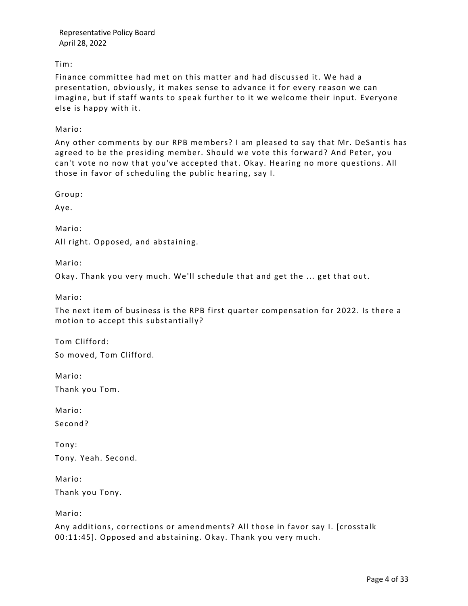Tim:

Finance committee had met on this matter and had discussed it. We had a presentation, obviously, it makes sense to advance it for every reason we can imagine, but if staff wants to speak further to it we welcome their input. Everyone else is happy with it.

Mario:

Any other comments by our RPB members? I am pleased to say that Mr. DeSantis has agreed to be the presiding member. Should we vote this forward? And Peter, you can't vote no now that you've accepted that. Okay. Hearing no more questions. All those in favor of scheduling the public hearing, say I.

Group:

Aye.

Mario:

All right. Opposed, and abstaining.

Mario:

Okay. Thank you very much. We'll schedule that and get the ... get that out.

Mario:

The next item of business is the RPB first quarter compensation for 2022. Is there a motion to accept this substantially?

Tom Clifford:

So moved, Tom Clifford.

Mario:

Thank you Tom.

Mario:

Second?

Tony: Tony. Yeah. Second.

Mario:

Thank you Tony.

Mario:

Any additions, corrections or amendments? All those in favor say I. [crosstalk 00:11:45]. Opposed and abstaining. Okay. Thank you very much.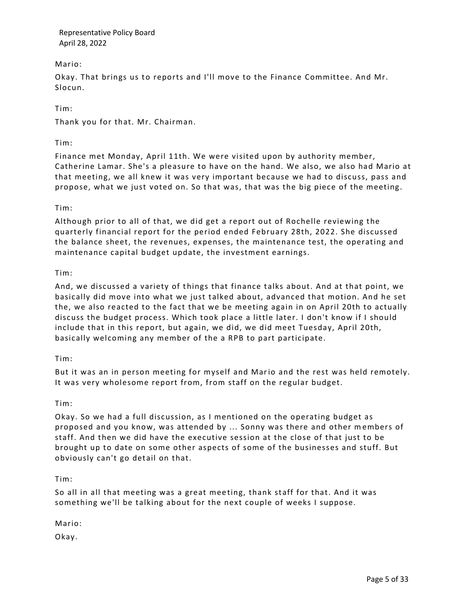Mario:

Okay. That brings us to reports and I'll move to the Finance Committee. And Mr. Slocun.

Tim:

Thank you for that. Mr. Chairman.

Tim:

Finance met Monday, April 11th. We were visited upon by authority member, Catherine Lamar. She's a pleasure to have on the hand. We also, we also had Mario at that meeting, we all knew it was very important because we had to discuss, pass and propose, what we just voted on. So that was, that was the big piece of the meeting.

## Tim:

Although prior to all of that, we did get a report out of Rochelle reviewing the quarterly financial report for the period ended February 28th, 2022. She discussed the balance sheet, the revenues, expenses, the maintenance test, the operating and maintenance capital budget update, the investment earnings.

## Tim:

And, we discussed a variety of things that finance talks about. And at that point, we basically did move into what we just talked about, advanced that motion. And he set the, we also reacted to the fact that we be meeting again in on April 20th to actually discuss the budget process. Which took place a little later. I don't know if I should include that in this report, but again, we did, we did meet Tuesday, April 20th, basically welcoming any member of the a RPB to part participate.

## Tim:

But it was an in person meeting for myself and Mario and the rest was held remotely. It was very wholesome report from, from staff on the regular budget.

## Tim:

Okay. So we had a full discussion, as I mentioned on the operating budget as proposed and you know, was attended by ... Sonny was there and other m embers of staff. And then we did have the executive session at the close of that just to be brought up to date on some other aspects of some of the businesses and stuff. But obviously can't go detail on that.

## Tim:

So all in all that meeting was a great mee ting, thank staff for that. And it was something we'll be talking about for the next couple of weeks I suppose.

Mario:

Okay.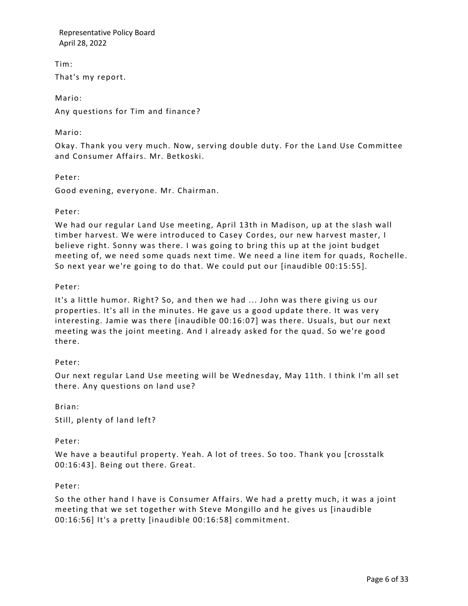Tim:

That's my report.

Mario:

Any questions for Tim and finance?

## Mario:

Okay. Thank you very much. Now, serving double duty. For the Land Use Committee and Consumer Affairs. Mr. Betkoski.

## Peter:

Good evening, everyone. Mr. Chairman.

## Peter:

We had our regular Land Use meeting, April 13th in Madison, up at the slash wall timber harvest. We were introduced to Casey Cordes, our new harvest master, I believe right. Sonny was there. I was going to bring this up at the joint budget meeting of, we need some quads next time. We need a line item for quads, Rochelle. So next year we're going to do that. We could put our [inaudible 00:15:55].

# Peter:

It's a little humor. Right? So, and then we had ... John was there giving us our properties. It's all in the minutes. He gave us a good update there. It was very interesting. Jamie was there [inaudible 00:16:07] was there. Usuals, but our next meeting was the joint meeting. And I already asked for the quad. So we're good there.

# Peter:

Our next regular Land Use meeting will be Wednesday, May 11th. I think I'm all set there. Any questions on land use?

## Brian:

Still, plenty of land left?

# Peter:

We have a beautiful property. Yeah. A lot of trees. So too. Thank you [crosstalk 00:16:43]. Being out there. Great.

## Peter:

So the other hand I have is Consumer Affairs. We had a pretty much, it was a joint meeting that we set together with Steve Mongillo and he gives us [inaudible 00:16:56] It's a pretty [inaudible 00:16:58] commitment.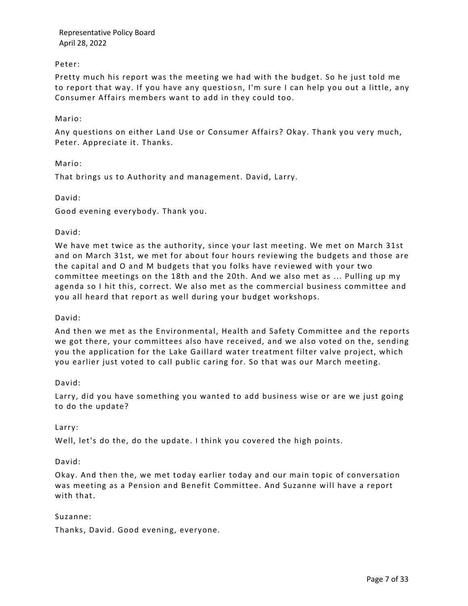## Peter:

Pretty much his report was the meeting we had with the budget. So he just told me to report that way. If you have any questio sn, I'm sure I can help you out a little, any Consumer Affairs members want to add in they could too.

## Mario:

Any questions on either Land Use or Consumer Affairs? Okay. Thank you very much, Peter. Appreciate it. Thanks.

Mario:

That brings us to Authority and management. David, Larry.

## David:

Good evening everybody. Thank you.

## David:

We have met twice as the authority, since your last meeting. We met on March 31st and on March 31st, we met for about four hours reviewing the budgets and those are the capital and O and M budgets that you folks have r eviewed with your two committee meetings on the 18th and the 20th. And we also met as ... Pulling up my agenda so I hit this, correct. We also met as the commercial business committee and you all heard that report as well during your budget workshops.

#### David:

And then we met as the Environmental, Health and Safety Committee and the reports we got there, your committees also have received, and we also voted on the, sending you the application for the Lake Gaillard water treatment filter valve project, which you earlier just voted to call public caring for. So that was our March meeting.

#### David:

Larry, did you have something you wanted to add business wise or are we just going to do the update?

#### Larry:

Well, let's do the, do the update. I think you covered the high points.

#### David:

Okay. And then the, we met today earlier today and our main topic of conversation was meeting as a Pension and Benefit Committee. And Suzanne will have a report with that.

#### Suzanne:

Thanks, David. Good evening, everyone.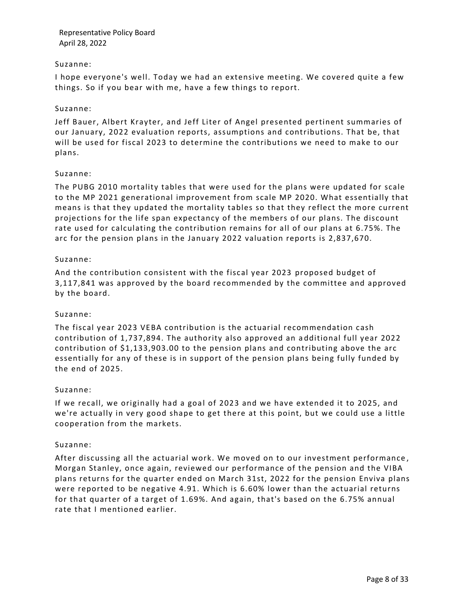### Suzanne:

I hope everyone's well. Today we had an extensive meeting. We covered quite a few things. So if you bear with me, have a few things to report.

## Suzanne:

Jeff Bauer, Albert Krayter, and Jeff Liter of Angel presented pertinent summaries of our January, 2022 evaluation reports, assumptions and contributions. That be, that will be used for fiscal 2023 to determine the contributions we need to make to our plans.

## Suzanne:

The PUBG 2010 mortality tables that were used for the plans were updated for scale to the MP 2021 generational improvement from scale MP 2020. What essentially that means is that they updated the mortality tables so that they reflect the more current projections for the life span expectancy of the members of our plans. The discount rate used for calculating the contribution remains for all of our plans at 6.75%. The arc for the pension plans in the January 2022 valuation reports is 2,837,670.

## Suzanne:

And the contribution consistent with the fiscal year 2023 proposed budget of 3,117,841 was approved by the board recommended by the committee and approved by the board.

#### Suzanne:

The fiscal year 2023 VEBA contribution is the actuarial recommendation cash contribution of 1,737,894. The authority also approved an a dditional full year 2022 contribution of \$1,133,903.00 to the pension plans and contributing above the arc essentially for any of these is in support of the pension plans being fully funded by the end of 2025.

## Suzanne:

If we recall, we originally had a goal of 2023 and we have extended it to 2025, and we're actually in very good shape to get there at this point, but we could use a little cooperation from the markets.

#### Suzanne:

After discussing all the actuarial work. We moved on to our investment performance , Morgan Stanley, once again, reviewed our performance of the pension and the VIBA plans returns for the quarter ended on March 31st, 2022 for the pension Enviva plans were reported to be negative 4.91. Which is 6.60% lower than the actuarial returns for that quarter of a target of 1.69%. And again, that's based on the 6.75% annual rate that I mentioned earlier.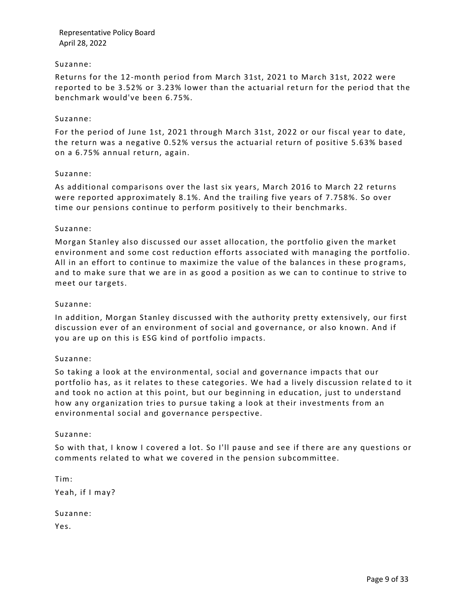## Suzanne:

Returns for the 12-month period from March 31st, 2021 to March 31st, 2022 were reported to be 3.52% or 3.23% lower than the actuarial ret urn for the period that the benchmark would've been 6.75%.

#### Suzanne:

For the period of June 1st, 2021 through March 31st, 2022 or our fiscal year to date, the return was a negative 0.52% versus the actuarial return of positive 5.63% based on a 6.75% annual return, again.

#### Suzanne:

As additional comparisons over the last six years, March 2016 to March 22 returns were reported approximately 8.1%. And the trailing five years of 7.758%. So over time our pensions continue to perform positively to their benchmarks.

#### Suzanne:

Morgan Stanley also discussed our asset allocation, the portfolio given the market environment and some cost reduction efforts associated with managing the portfolio. All in an effort to continue to maximize the value of the balances in these programs, and to make sure that we are in as good a position as we can to continue to strive to meet our targets.

#### Suzanne:

In addition, Morgan Stanley discussed with the authority pretty extensively, our first discussion ever of an environment of social and g overnance, or also known. And if you are up on this is ESG kind of portfolio impacts.

#### Suzanne:

So taking a look at the environmental, social and governance impacts that our portfolio has, as it relates to these categories. We had a lively discussion relate d to it and took no action at this point, but our beginning in education, just to understand how any organization tries to pursue taking a look at their investments from an environmental social and governance perspective.

#### Suzanne:

So with that, I know I covered a lot. So I'll pause and see if there are any questions or comments related to what we covered in the pension subcommittee.

Tim: Yeah, if I may? Suzanne: Yes.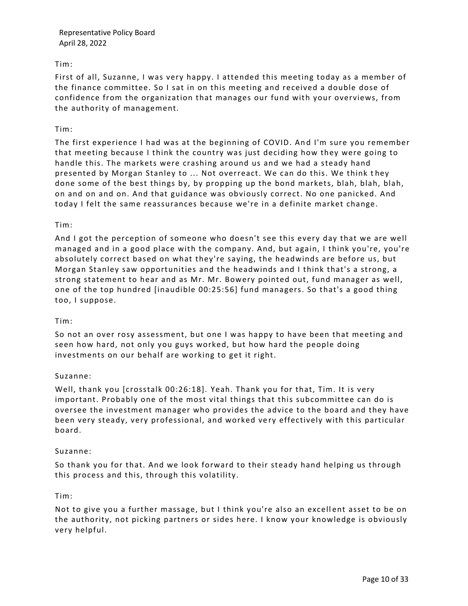## Tim:

First of all, Suzanne, I was very happy. I attended this meeting today as a member of the finance committee. So I sat in on this meeting and received a double dose of confidence from the organization that manages our fund with your overviews, from the authority of management.

## Tim:

The first experience I had was at the beginning of COVID. And I'm sure you remember that meeting because I think the country was just deciding how they were going to handle this. The markets were crashing around us and we had a steady hand presented by Morgan Stanley to ... Not overreact. We can do this. We think t hey done some of the best things by, by propping up the bond markets, blah, blah, blah, on and on and on. And that guidance was obviously correct. No one panicked. And today I felt the same reassurances because we're in a definite market change.

## Tim:

And I got the perception of someone who doesn't see this every day that we are well managed and in a good place with the company. And, but again, I think you're, you're absolutely correct based on what they're saying, the headwinds are before us, but Morgan Stanley saw opportunities and the headwinds and I think that's a strong, a strong statement to hear and as Mr. Mr. Bowery pointed out, fund manager as well, one of the top hundred [inaudible 00:25:56] fund managers. So that's a good thing too, I suppose.

## Tim:

So not an over rosy assessment, but one I was happy to have been that meeting and seen how hard, not only you guys worked, but how hard the people doing investments on our behalf are working to get it right.

## Suzanne:

Well, thank you [crosstalk 00:26:18]. Yeah. Thank you for that, Tim. It is very important. Probably one of the most vital things that this subcommittee can do is oversee the investment manager who provides the advice to the board and they have been very steady, very professional, and worked ve ry effectively with this particular board.

## Suzanne:

So thank you for that. And we look forward to their steady hand helping us through this process and this, through this volatility.

## Tim:

Not to give you a further massage, but I think you're also an excellent asset to be on the authority, not picking partners or sides here. I know your knowledge is obviously very helpful.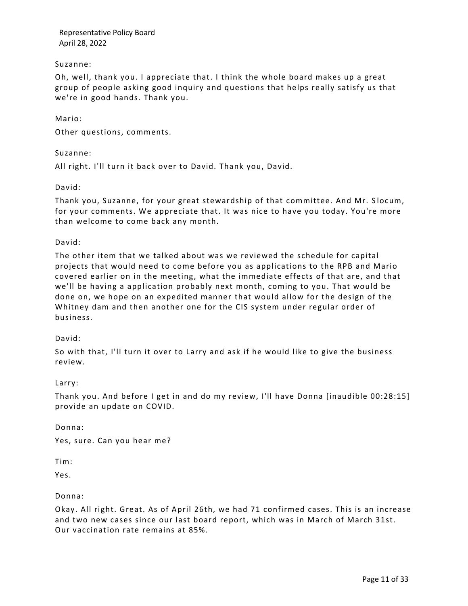## Suzanne:

Oh, well, thank you. I appreciate that. I think the whole board makes up a great group of people asking good inquiry and questions that helps really satisfy us that we're in good hands. Thank you.

### Mario:

Other questions, comments.

Suzanne:

All right. I'll turn it back over to David. Thank you, David.

David:

Thank you, Suzanne, for your great stewardship of that committee. And Mr. S locum, for your comments. We appreciate that. It was nice to have you today. You're more than welcome to come back any month.

David:

The other item that we talked about was we reviewed the schedule for capital projects that would need to come before you as applications to the RPB and Mario covered earlier on in the meeting, what the immediate effects of that are, and that we'll be having a application probably next month, coming to you. That would be done on, we hope on an expedited manner that would allow for the design of the Whitney dam and then another one for the CIS system under regular order of business.

#### David:

So with that, I'll turn it over to Larry and ask if he would like to give the business review.

#### Larry:

Thank you. And before I get in and do my review, I'll have Donna [inaudible 00:28:15] provide an update on COVID.

Donna:

Yes, sure. Can you hear me?

Tim:

Yes.

## Donna:

Okay. All right. Great. As of April 26th, we had 71 confirmed cases. This is an increase and two new cases since our last board report, which was in March of March 31st. Our vaccination rate remains at 85%.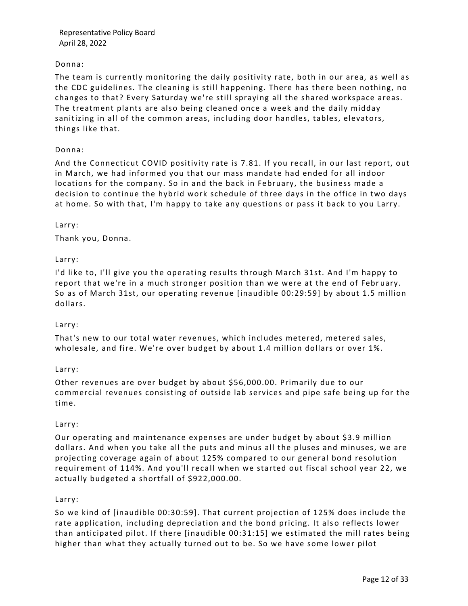## Donna:

The team is currently monitoring the daily positivity rate, both in our area, as well as the CDC guidelines. The cleaning is still happening. There has there been nothing, no changes to that? Every Saturday we're still spraying all the shared workspace areas. The treatment plants are also being cleaned once a week and the daily midday sanitizing in all of the common areas, including door handles, tables, elevators, things like that.

## Donna:

And the Connecticut COVID positivity rate is 7.81. If you recall, in our last report, out in March, we had informed you that our mass mandate had ended for all indoor locations for the company. So in and the back in February, the business made a decision to continue the hybrid work schedule of three days in the office in two days at home. So with that, I'm happy to take any questions or pass it back to you Larry.

## Larry:

Thank you, Donna.

## Larry:

I'd like to, I'll give you the operating results through March 31st. And I'm happy to report that we're in a much stronger position than we were at the end of February. So as of March 31st, our operating revenue [inaudible 00:29:59] by about 1.5 million dollars.

#### Larry:

That's new to our total water revenues, which includes metered, metered sales, wholesale, and fire. We're over budget by about 1.4 million dollars or over 1%.

#### Larry:

Other revenues are over budget by about \$56,000.00. Primarily due to our commercial revenues consisting of outside lab services and pipe safe being up for the time.

#### Larry:

Our operating and maintenance expenses are under budget by about \$3.9 million dollars. And when you take all the puts and minus all the pluses and minuses, we are projecting coverage again of about 125% compared to our general bond resolution requirement of 114%. And you'll reca ll when we started out fiscal school year 22, we actually budgeted a shortfall of \$922,000.00.

#### Larry:

So we kind of [inaudible 00:30:59]. That current projection of 125% does include the rate application, including depreciation and the bond pricing. It also reflects lower than anticipated pilot. If there [inaudible 00:31:15] we estimated the mill rates being higher than what they actually turned out to be. So we have some lower pilot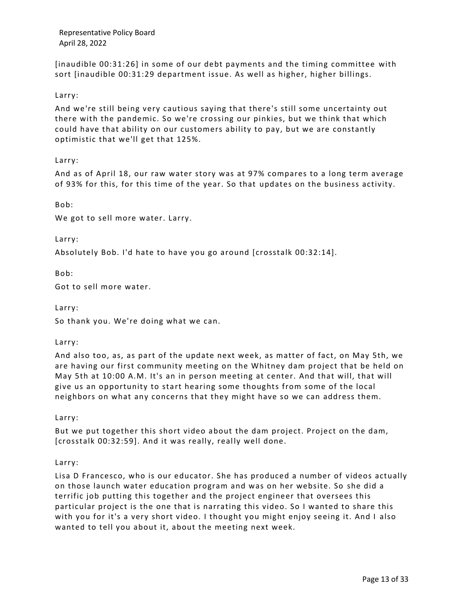[inaudible 00:31:26] in some of our debt payments and the timing committee with sort [inaudible 00:31:29 department issue. As well as higher, higher billings.

## Larry:

And we're still being very cautious saying that there's still some uncertainty out there with the pandemic. So we're crossing our pinkies, but we think that which could have that ability on our customers ability to pay, but we are constantly optimistic that we'll get that 125%.

Larry:

And as of April 18, our raw water story was at 97% compares to a long term average of 93% for this, for this time of the year. So that updates on the business activity.

Bob:

We got to sell more water. Larry.

Larry:

Absolutely Bob. I'd hate to have you go around [crosstalk 00:32:14].

Bob:

Got to sell more water.

Larry:

So thank you. We're doing what we can.

#### Larry:

And also too, as, as part of the update next week, as matter of fact, on May 5th, we are having our first community meeting on the Whitney dam project that be held on May 5th at 10:00 A.M. It's an in person meeting at center. And that will, that will give us an opportunity to start hearing some thoughts from some of the local neighbors on what any concerns that they might have so we can address them.

Larry:

But we put together this short video about the dam project. Project on the dam, [crosstalk 00:32:59]. And it was really, really well done.

Larry:

Lisa D Francesco, who is our educator. She has produced a number of videos actually on those launch water education program and was on her website. So she did a terrific job putting this together and the project engineer that oversees this particular project is the one that is narrating this video. So I wanted to share this with you for it's a very short video. I thought you might enjoy seeing it. And I also wanted to tell you about it, about the meeting next week.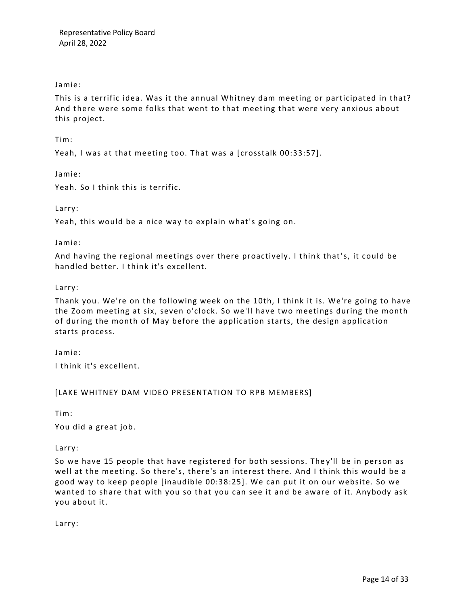## Jamie:

This is a terrific idea. Was it the annual Whitney dam meeting or participated in that? And there were some folks that went to that meeting that were very anxious about this project.

Tim:

Yeah, I was at that meeting too. That was a [crosstalk 00:33:57].

Jamie:

Yeah. So I think this is terrific.

Larry:

Yeah, this would be a nice way to explain what's going on.

Jamie:

And having the regional meetings over there proactively. I think that's, it could be handled better. I think it's excellent.

## Larry:

Thank you. We're on the following week on the 10th, I think it is. We're going to have the Zoom meeting at six, seven o'clock. So we'll have two meetings during the month of during the month of May before the application starts, the design application starts process.

Jamie: I think it's excellent.

## [LAKE WHITNEY DAM VIDEO PRESENTATION TO RPB MEMBERS]

Tim:

You did a great job.

Larry:

So we have 15 people that have registered for both sessions. They'll be in person as well at the meeting. So there's, there's an interest there. And I think this would be a good way to keep people [inaudible 00:38:25]. We can put it on our website. So we wanted to share that with you so that you can see it and be aware of it. Anybody ask you about it.

Larry: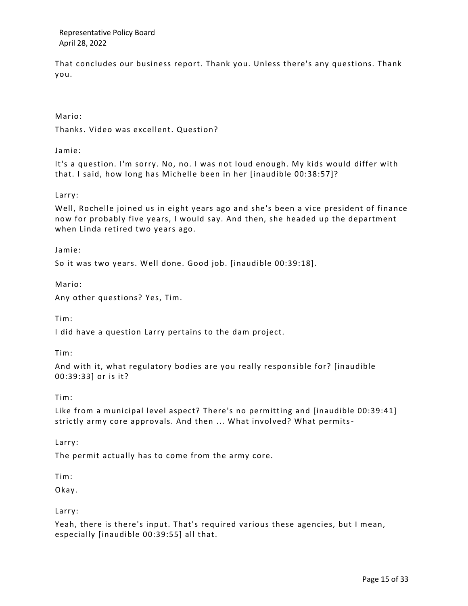That concludes our business report. Thank you. Unless there's any questions. Thank you.

Mario:

Thanks. Video was excellent. Question?

Jamie:

It's a question. I'm sorry. No, no. I was not loud enough. My kids would differ with that. I said, how long has Michelle been in her [inaudible 00:38:57]?

Larry:

Well, Rochelle joined us in eight years ago and she's been a vice president of finance now for probably five years, I would say. And then, she headed up the department when Linda retired two years ago.

Jamie:

So it was two years. Well done. Good job. [inaudible 00:39:18].

Mario:

Any other questions? Yes, Tim.

Tim:

I did have a question Larry pertains to the dam project.

Tim:

And with it, what regulatory bodies are you really responsible for? [inaudible 00:39:33] or is it?

Tim:

Like from a municipal level aspect? There's no permitting and [inaudible 00:39:41] strictly army core approvals. And then ... What involved? What permits-

Larry:

The permit actually has to come from the army core.

Tim:

Okay.

Larry:

Yeah, there is there's input. That's required various these agencies, but I mean, especially [inaudible 00:39:55] all that.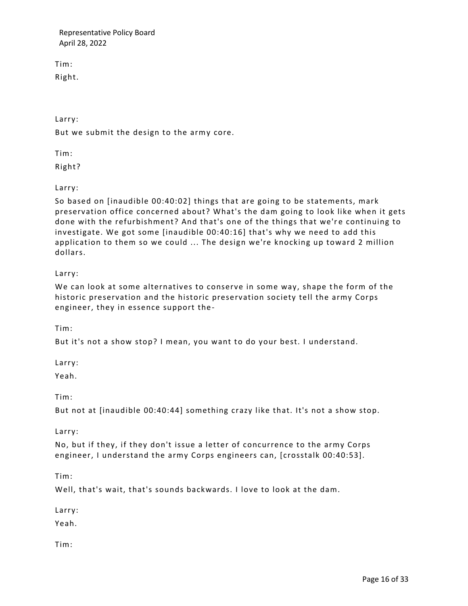Tim:

Right.

Larry:

But we submit the design to the army core.

Tim:

Right?

Larry:

So based on [inaudible 00:40:02] things that are going to be statements, mark preservation office concerned about? What's the dam going to look like when it gets done with the refurbishment? And that's one of the things that we're continuing to investigate. We got some [inaudible 00:40:16] that's why we need to add this application to them so we could ... The design we're knocking up toward 2 million dollars.

# Larry:

We can look at some alternatives to conserve in some way, shape the form of the historic preservation and the historic preservation society tell the army Corps engineer, they in essence support the -

Tim:

But it's not a show stop? I mean, you want to do your best. I understand.

Larry:

Yeah.

Tim:

But not at [inaudible 00:40:44] something crazy like that. It's not a show stop.

Larry:

No, but if they, if they don't issue a letter of concurrence to the army Corps engineer, I understand the army Corps engineers can, [crosstalk 00:40:53].

Tim:

Well, that's wait, that's sounds backwards. I love to look at the dam.

Larry:

Yeah.

Tim: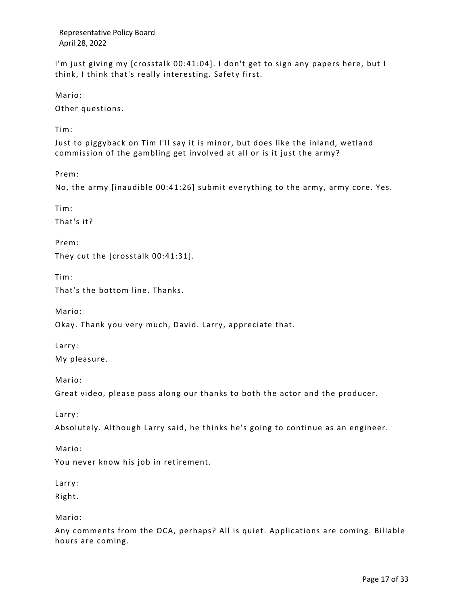I'm just giving my [crosstalk 00:41:04]. I don't get to sign any papers here, but I think, I think that's really interesting. Safety first.

Mario:

Other questions.

Tim:

Just to piggyback on Tim I'll say it is minor, but does like the inland, wetland commission of the gambling get involved at all or is it just the army?

Prem:

No, the army [inaudible 00:41:26] submit everything to the army, army core. Yes.

Tim:

That's it?

Prem:

They cut the [crosstalk 00:41:31].

Tim:

That's the bottom line. Thanks.

Mario:

Okay. Thank you very much, David. Larry, appreciate that.

Larry: My pleasure.

Mario:

Great video, please pass along our thanks to both the actor and the producer.

Larry:

Absolutely. Although Larry said, he thinks he's going to continue as an engineer.

Mario:

You never know his job in retirement.

Larry:

Right.

Mario:

Any comments from the OCA, perhaps? All is quiet. Applications are coming. Billable hours are coming.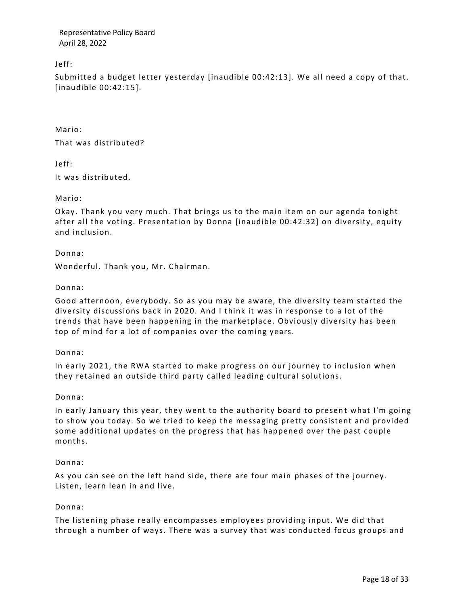Jeff:

Submitted a budget letter yesterday [inaudible 00:42:13]. We all need a copy of that. [inaudible 00:42:15].

Mario:

That was distributed?

Jeff:

It was distributed.

Mario:

Okay. Thank you very much. That brings us to the main item on our agenda tonight after all the voting. Presentation by Donna [inaudible 00:42:32] on diversity, equity and inclusion.

Donna:

Wonderful. Thank you, Mr. Chairman.

## Donna:

Good afternoon, everybody. So as you may be aware, the diversity team started the diversity discussions back in 2020. And I think it was in response to a lot of the trends that have been happening in the marketplace. Obviously diversity has been top of mind for a lot of companies over the coming years.

#### Donna:

In early 2021, the RWA started to make progress on our journey to inclusion when they retained an outside third party called leading cultural solutions.

## Donna:

In early January this year, they went to the authority board to present what I'm going to show you today. So we tried to keep the messaging pretty consistent and provided some additional updates on the progress that has happened over the past couple months.

#### Donna:

As you can see on the left hand side, there are four main phases of the journey. Listen, learn lean in and live.

## Donna:

The listening phase really encompasses employees providing input. We did that through a number of ways. There was a survey that was conducted focus groups and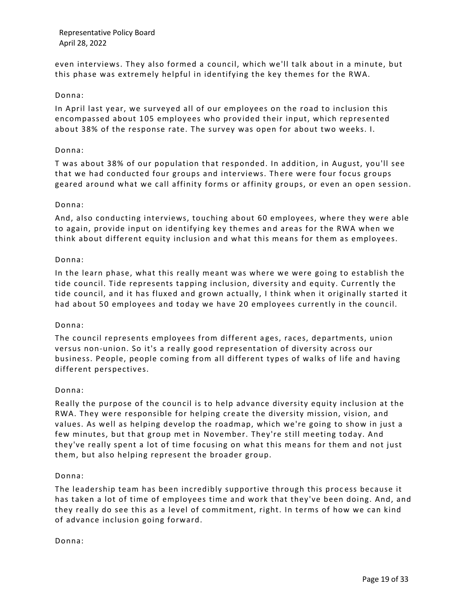even interviews. They also formed a council, which we'll talk about in a minute, but this phase was extremely helpful in identifying the key themes for the RWA.

## Donna:

In April last year, we surveyed all of our employees on the road to inclusion this encompassed about 105 employees who provided their input, which represented about 38% of the response rate. The survey was open for about two weeks. I.

### Donna:

T was about 38% of our population that responded. In addition, in August, you'll see that we had conducted four groups and interviews. There were four focus groups geared around what we call affinity forms or affinity groups, or even an open session.

## Donna:

And, also conducting interviews, touching about 60 employees, where they were able to again, provide input on identifying key themes and areas for the RWA when we think about different equity inclusion and what this means for them as employees.

## Donna:

In the learn phase, what this really meant was where we were going to establish the tide council. Tide represents tapping inclusion, diversity and equity. Currently the tide council, and it has fluxed and grown actually, I think when it originally started it had about 50 employees and today we have 20 employees currently in the council.

## Donna:

The council represents employees from different a ges, races, departments, union versus non-union. So it's a really good representation of diversity across our business. People, people coming from all different types of walks of life and having different perspectives.

#### Donna:

Really the purpose of the council is to help advance diversity equity inclusion at the RWA. They were responsible for helping create the diversity mission, vision, and values. As well as helping develop the roadmap, which we're going to show in just a few minutes, but that group met in November. They're still meeting today. And they've really spent a lot of time focusing on what this means for them and not just them, but also helping represent the broader group.

## Donna:

The leadership team has been incredibly supportive through this proc ess because it has taken a lot of time of employees time and work that they've been doing. And, and they really do see this as a level of commitment, right. In terms of how we can kind of advance inclusion going forward.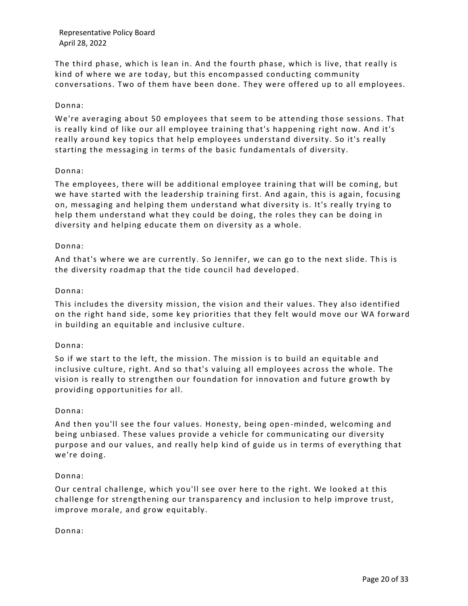The third phase, which is lean in. And the fourth phase, which is live, that really is kind of where we are today, but this encompassed conducting community conversations. Two of them have been done. They were offered up to all employees.

## Donna:

We're averaging about 50 employees that seem to be attending those sessions. That is really kind of like our all employee training that's happening right now. And it's really around key topics that help employees understand diversity. So it's really starting the messaging in terms of the basic fundamentals of diversity.

## Donna:

The employees, there will be additional employee training that will be coming, but we have started with the leadership training first. And again, this is again, focusing on, messaging and helping them understand what dive rsity is. It's really trying to help them understand what they could be doing, the roles they can be doing in diversity and helping educate them on diversity as a whole.

## Donna:

And that's where we are currently. So Jennifer, we can go to the next slide. This is the diversity roadmap that the tide council had developed.

## Donna:

This includes the diversity mission, the vision and their values. They also identified on the right hand side, some key priorities that they felt would move our WA forward in building an equitable and inclusive culture.

## Donna:

So if we start to the left, the mission. The mission is to build an equitable and inclusive culture, right. And so that's valuing all employees across the whole. The vision is really to strengthen our foundation for innovation and future growth by providing opportunities for all.

#### Donna:

And then you'll see the four values. Honesty, being open -minded, welcoming and being unbiased. These values provide a vehicle for communicating our diversity purpose and our values, and really help kind of guide us in terms of everything that we're doing.

#### Donna:

Our central challenge, which you'll see over here to the right. We looked a t this challenge for strengthening our transparency and inclusion to help improve trust, improve morale, and grow equitably.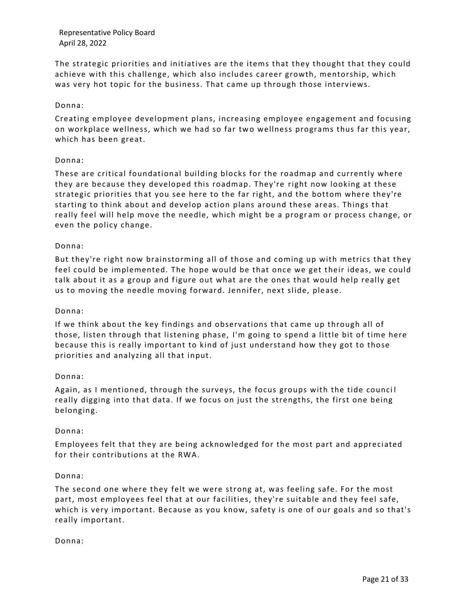The strategic priorities and initiatives are the items that they thought that they could achieve with this challenge, which also includes career growth, mentorship, which was very hot topic for the business. That came up through those interviews.

## Donna:

Creating employee development plans, increasing employee engagement and focusing on workplace wellness, which we had so far two wellness programs thus far this year, which has been great.

## Donna:

These are critical foundational building blocks for the roadmap and currently where they are because they developed this roadmap. They're right now looking at these strategic priorities that you see here to the far right, and the bottom where they're starting to think about and develop action plans around these areas. Things that really feel will help move the needle, which might be a program or process change, or even the policy change.

## Donna:

But they're right now brainstorming all of those and coming up with metrics that they feel could be implemented. The hope would be that once we get their ideas, we could talk about it as a group and figure out what are the ones that would help really get us to moving the needle moving forward. Jennifer, next slide, please.

#### Donna:

If we think about the key findings and observations that came up through all of those, listen through that listening phase, I'm going to spend a little bit of time here because this is really important to kind of just understand how they got to those priorities and analyzing all that input.

#### Donna:

Again, as I mentioned, through the surveys, the focus groups with the tide counci l really digging into that data. If we focus on just the strengths, the first one being belonging.

## Donna:

Employees felt that they are being acknowledged for the most part and appreciated for their contributions at the RWA.

#### Donna:

The second one where they felt we were strong at, was feeling safe. For the most part, most employees feel that at our facilities, they're suitable and they feel safe, which is very important. Because as you know, safety is one of our goals and so that's really important.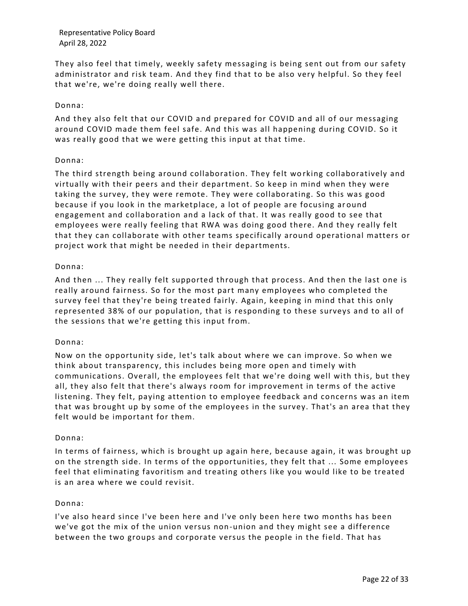They also feel that timely, weekly safety messaging is being sent out from our safety administrator and risk team. And they find that to be also very helpful. So they feel that we're, we're doing really well there.

## Donna:

And they also felt that our COVID and prepared for COVID and all of our messaging around COVID made them feel safe. And this was all happening during COVID. So it was really good that we were getting this input at that time.

## Donna:

The third strength being around collaboration. They felt wo rking collaboratively and virtually with their peers and their department. So keep in mind when they were taking the survey, they were remote. They were collaborating. So this was good because if you look in the marketplace, a lot of people are focusing ar ound engagement and collaboration and a lack of that. It was really good to see that employees were really feeling that RWA was doing good there. And they really felt that they can collaborate with other teams specifically around operational matters or project work that might be needed in their departments.

## Donna:

And then ... They really felt supported through that process. And then the last one is really around fairness. So for the most part many employees who completed the survey feel that they're being treated fairly. Again, keeping in mind that this only represented 38% of our population, that is responding to these surveys and to all of the sessions that we're getting this input from.

## Donna:

Now on the opportunity side, let's talk about where we can improve. So when we think about transparency, this includes being more open and timely with communications. Overall, the employees felt that we're doing well with this, but they all, they also felt that there's always room for improvement in terms of the active listening. They felt, paying attention to employee feedback and concerns was an item that was brought up by some of the employees in the survey. That's an area that they felt would be important for them.

#### Donna:

In terms of fairness, which is brought up again here, because again, it was brought up on the strength side. In terms of the opportunities, they felt that ... Some employees feel that eliminating favoritism and treating others like you would like to be treated is an area where we could revisit.

## Donna:

I've also heard since I've been here and I've only been here two months has been we've got the mix of the union versus non-union and they might see a difference between the two groups and corporate versus the people in the field. That has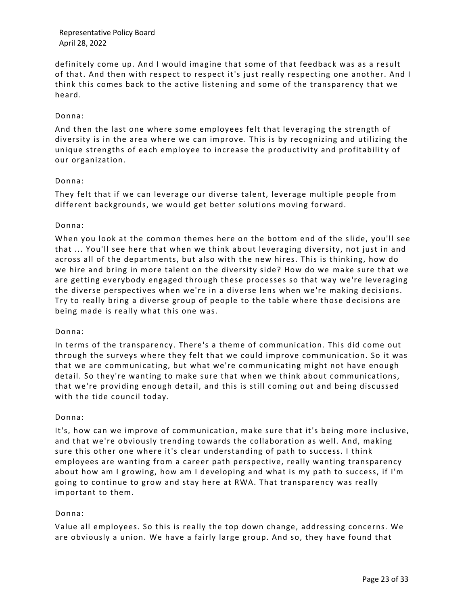definitely come up. And I would imagine that some of that feedback was as a result of that. And then with respect to respect it's just really respecting one another. And I think this comes back to the active listening and some of the transparency that we heard.

## Donna:

And then the last one where some employees felt that leveraging the strength of diversity is in the area where we can improve. This is by recognizing and utilizing the unique strengths of each employee to increase the productivity and profitability of our organization.

## Donna:

They felt that if we can leverage our diverse talent, leverage multiple people from different backgrounds, we would get better solutions moving forward.

## Donna:

When you look at the common themes here on the bottom end of the slide, you'll see that ... You'll see here that when we think about leveraging diversity, not just in and across all of the departments, but also with the new hires. This is thinking, how do we hire and bring in more talent on the diversity side? How do we make sure that we are getting everybody engaged through these processes so that way we're leveraging the diverse perspectives when we're in a diverse lens when we're making decisions. Try to really bring a diverse group of people to the table where those d ecisions are being made is really what this one was.

#### Donna:

In terms of the transparency. There's a theme of communication. This did come out through the surveys where they felt that we could improve communication. So it was that we are communicating, but what we're communicating might not have enough detail. So they're wanting to make sure that when we think about communications, that we're providing enough detail, and this is still coming out and being discussed with the tide council today.

#### Donna:

It's, how can we improve of communication, make sure that it's being more inclusive, and that we're obviously trending towards the collaboration as well. And, making sure this other one where it's clear understanding of path to success. I think employees are wanting from a career path perspective, really wanting transparency about how am I growing, how am I developing and what is my path to success, if I'm going to continue to grow and stay here at RWA. That transparency was really important to them.

## Donna:

Value all employees. So this is really the top down change, addressing concerns. We are obviously a union. We have a fairly large group. And so, they have found that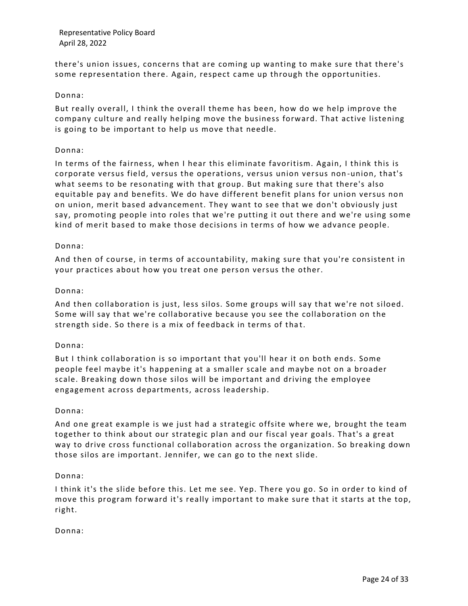there's union issues, concerns that are coming up wanting to make sure that there's some representation there. Again, respect came up through the opportunities.

## Donna:

But really overall, I think the overall theme has been, how do we help improve the company culture and really helping move the business forward. That active listening is going to be important to help us move that needle.

## Donna:

In terms of the fairness, when I hear this eliminate favoritism. Again, I think this is corporate versus field, versus the operations, versus union versus non -union, that's what seems to be resonating with that group. But making sure that there's also equitable pay and benefits. We do have different benefit plans for union versus non on union, merit based advancement. They want to see that we don't obviously just say, promoting people into roles that we're putting it out there and we're using some kind of merit based to make those decisions in terms of how we advance people.

## Donna:

And then of course, in terms of accountability, making sure that you're consistent in your practices about how you treat one person versus the other.

## Donna:

And then collaboration is just, less silos. Some groups will say that we're not siloed. Some will say that we're collaborative because you see the collaboration on the strength side. So there is a mix of feedback in terms of that.

## Donna:

But I think collaboration is so important that you'll hear it on both ends. Some people feel maybe it's happening at a smaller scale and maybe not on a broader scale. Breaking down those silos will be important and driving the employee engagement across departments, across leadership.

#### Donna:

And one great example is we just had a strategic offsite where we, brought the team together to think about our strategic plan and our fiscal year goals. That's a great way to drive cross functional collaboration across the organization. So breaking down those silos are important. Jennifer, we can go to the next slide.

#### Donna:

I think it's the slide before this. Let me see. Yep. There you go. So in order to kind of move this program forward it's really important to make sure that it starts at the top, right.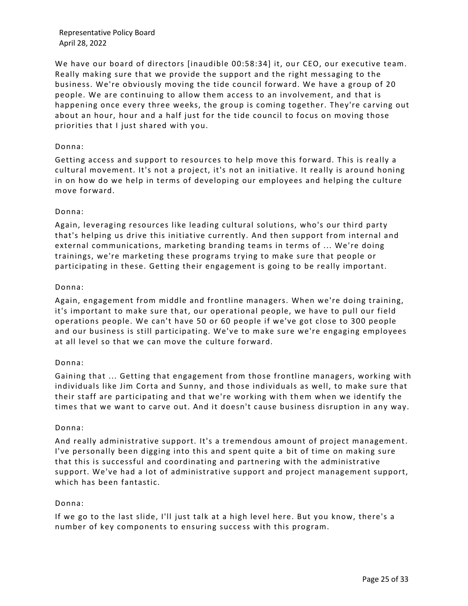We have our board of directors [inaudible 00:58:34] it, our CEO, our executive team. Really making sure that we provide the support and the right messaging to the business. We're obviously moving the tide council forward. We have a group of 20 people. We are continuing to allow them access to an involvement, and that is happening once every three weeks, the group is coming together. They're carving out about an hour, hour and a half just for the tide council to focus on moving those priorities that I just shared with you.

## Donna:

Getting access and support to resources to help move this forward. This is really a cultural movement. It's not a project, it's not an initiative. It really is around honing in on how do we help in terms of developing our employees and helping the culture move forward.

## Donna:

Again, leveraging resources like leading cultural solutions, who's our third party that's helping us drive this initiative currently. And then support from internal and external communications, marketing branding teams in terms of ... We're doing trainings, we're marketing these programs trying to make sure that people or participating in these. Getting their engagement is going to be really important.

## Donna:

Again, engagement from middle and frontline managers. When we're doing training, it's important to make sure that, our operational people, we have to pull our field operations people. We can't have 50 or 60 people if we've got close to 300 people and our business is still participating. We've to make sure we're engaging employees at all level so that we can move the culture forward.

## Donna:

Gaining that ... Getting that engagement from those frontline managers, working with individuals like Jim Corta and Sunny, and those individuals as well, to make sure that their staff are participating and that we're working with them when we identify the times that we want to carve out. And it doesn't cause business disruption in any way.

#### Donna:

And really administrative support. It's a tremendous amount of project management. I've personally been digging into this and spent quite a bit of time on making sure that this is successful and coordinating and partnering with the administrative support. We've had a lot of administrative support and project management support, which has been fantastic.

#### Donna:

If we go to the last slide, I'll just talk at a high level here. But you know, there's a number of key components to ensuring success with this program.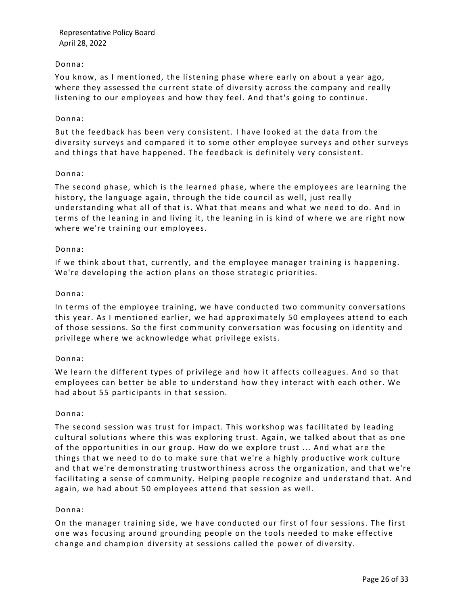## Donna:

You know, as I mentioned, the listening phase where early on about a year ago, where they assessed the current state of diversity across the company and really listening to our employees and how they feel. And that's going to continue.

### Donna:

But the feedback has been very consistent. I have looked at the data from the diversity surveys and compared it to some other employee surveys and other surveys and things that have happened. The feedback is definitely very consistent.

#### Donna:

The second phase, which is the learned phase, where the employees are learning the history, the language again, through the tide council as well, just really understanding what all of that is. What that means and what we need to do. And in terms of the leaning in and living it, the leaning in is kind of where we are right now where we're training our employees.

## Donna:

If we think about that, currently, and the employee manager training is happening. We're developing the action plans on those strategic priorities.

## Donna:

In terms of the employee training, we have conducted two community conversations this year. As I mentioned earlier, we had approximately 50 employees attend to each of those sessions. So the first community conversation was focusing on identity and privilege where we acknowledge what privilege exists.

## Donna:

We learn the different types of privilege and how it affects colleagues. And so that employees can better be able to understand how they interact with each other. We had about 55 participants in that session.

#### Donna:

The second session was trust for impact. This workshop was facilitated by leading cultural solutions where this was exploring trust. Again, we talked about that as one of the opportunities in our group. How do we explore trust ... And what are the things that we need to do to make sure that we're a highly productive work culture and that we're demonstrating trustworthiness across the organization, and that we're facilitating a sense of community. Helping people recognize and understand that. A nd again, we had about 50 employees attend that session as well.

#### Donna:

On the manager training side, we have conducted our first of four sessions. The first one was focusing around grounding people on the tools needed to make effective change and champion diversity at sessions called the power of diversity.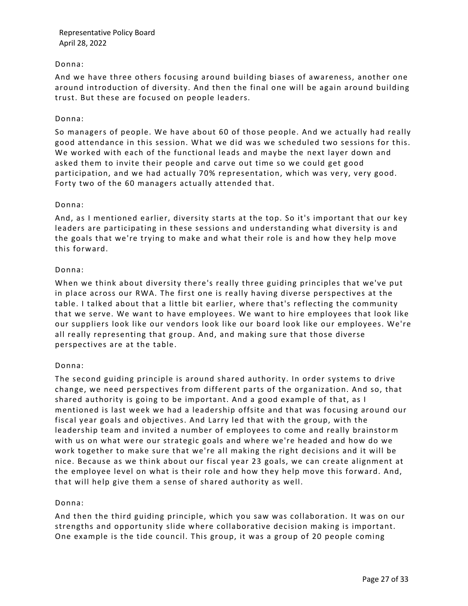## Donna:

And we have three others focusing around building biases of awareness, another one around introduction of diversity. And then the final one will be again around building trust. But these are focused on people leaders.

## Donna:

So managers of people. We have about 60 of those people. And we actually had really good attendance in this session. What we did was we scheduled two sessions for this. We worked with each of the functional leads and maybe the next layer down and asked them to invite their people and carve out time so we could get good participation, and we had actually 70% representation, which was very, very good. Forty two of the 60 managers actually attended that.

## Donna:

And, as I mentioned earlier, diversity starts at the top. So it's important that our key leaders are participating in these sessions and understanding what diversity is and the goals that we're trying to make and what their role is and how they help move this forward.

## Donna:

When we think about diversity there's really three guiding principles that we've put in place across our RWA. The first one is really having diverse perspectives at the table. I talked about that a little bit earlier, where that's reflecting the community that we serve. We want to have employees. We want to hire employees that look like our suppliers look like our vendors look like our board look like our employees. We're all really representing that group. And, and making sure that those diverse perspectives are at the table.

## Donna:

The second guiding principle is around shared authority. In order systems to drive change, we need perspectives from different parts of the organization. And so, that shared authority is going to be important. And a good example of that, as I mentioned is last week we had a leadership offsite and that was focusing around our fiscal year goals and objectives. And Larry led that with the group, with the leadership team and invited a number of employees to come and really brainstor m with us on what were our strategic goals and where we're headed and how do we work together to make sure that we're all making the right decisions and it will be nice. Because as we think about our fiscal year 23 goals, we can create alignment at the employee level on what is their role and how they help move this forward. And, that will help give them a sense of shared authority as well.

## Donna:

And then the third guiding principle, which you saw was collaboration. It was on our strengths and opportunity slide where collaborative decision making is important. One example is the tide council. This group, it was a group of 20 people coming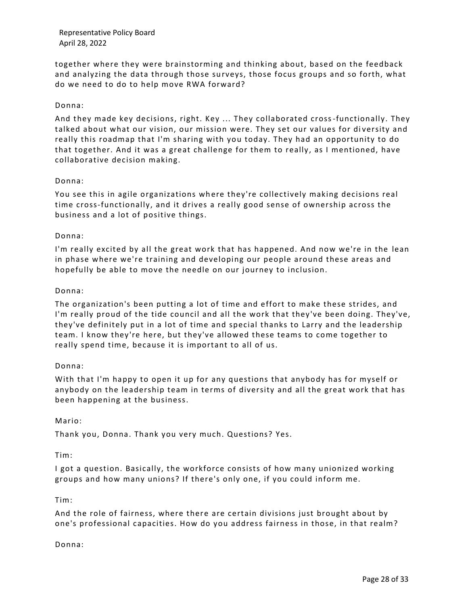together where they were brainstorming and thinking about, based on the feedback and analyzing the data through those surveys, those focus groups and so forth, what do we need to do to help move RWA forward?

## Donna:

And they made key decisions, right. Key ... They collaborated cross-functionally. They talked about what our vision, our mission were. They set our values for di versity and really this roadmap that I'm sharing with you today. They had an opportunity to do that together. And it was a great challenge for them to really, as I mentioned, have collaborative decision making.

## Donna:

You see this in agile organizations where they're collectively making decisions real time cross-functionally, and it drives a really good sense of ownership across the business and a lot of positive things.

## Donna:

I'm really excited by all the great work that has happened. And now we're in the lean in phase where we're training and developing our people around these areas and hopefully be able to move the needle on our journey to inclusion.

## Donna:

The organization's been putting a lot of time and effort to make these strides, and I'm really proud of the tide council and all the work that they've been doing. They've, they've definitely put in a lot of time and special thanks to Larry and the leadership team. I know they're here, but they've allowed these teams to come together to really spend time, because it is important to all of us.

## Donna:

With that I'm happy to open it up for any questions that anybody has for myself or anybody on the leadership team in terms of diversity and all the great work that has been happening at the business.

#### Mario:

Thank you, Donna. Thank you very much. Questions? Yes.

Tim:

I got a question. Basically, the workforce consists of how many unionized working groups and how many unions? If there's only one, if you could inform me.

#### Tim:

And the role of fairness, where there are certain divisions just brought about by one's professional capacities. How do you address fairness in those, in that realm?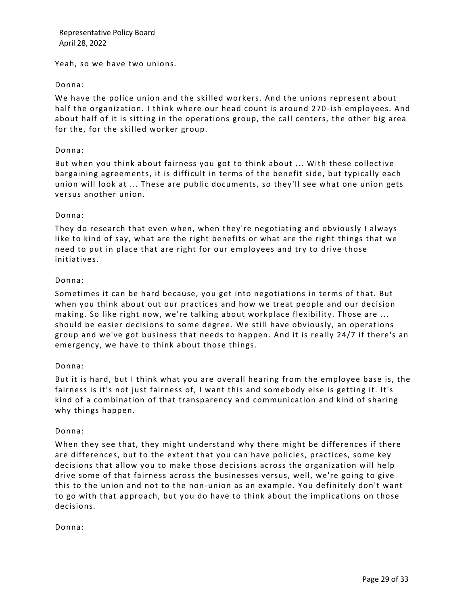Yeah, so we have two unions.

## Donna:

We have the police union and the skilled workers. And the unions represent about half the organization. I think where our head count is around 270 -ish employees. And about half of it is sitting in the operations group, the call centers, the other big area for the, for the skilled worker group.

## Donna:

But when you think about fairness you got to think about ... With these collective bargaining agreements, it is difficult in terms of the benefit side, but typically each union will look at ... These are public documents, so they'll see what one union gets versus another union.

## Donna:

They do research that even when, when they're negotiating and obviously I always like to kind of say, what are the right benefits or what are the right things that we need to put in place that are right for our employees and try to drive those initiatives.

## Donna:

Sometimes it can be hard because, you get into negotiations in terms of that. But when you think about out our practices and how we treat people and our decision making. So like right now, we're talking about workplace flexibility. Those are ... should be easier decisions to some degree. We still have obviously, an operations group and we've got business that needs to happen. And it is really 24/7 if there's an emergency, we have to think about those things.

## Donna:

But it is hard, but I think what you are overall hearing from the employee base is, the fairness is it's not just fairness of, I want this and somebody else is getting it. It's kind of a combination of that transparency and communication and kind of sharing why things happen.

## Donna:

When they see that, they might understand why there might be differences if there are differences, but to the extent that you can have policies, practices, some key decisions that allow you to make those decisions across the organization will help drive some of that fairness across the businesses versus, well, we're going to give this to the union and not to the non-union as an example. You definitely don't want to go with that approach, but you do have to think about the implications on those decisions.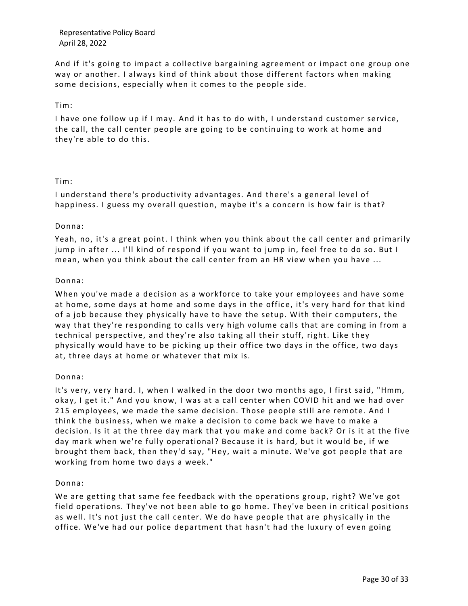And if it's going to impact a collective bargaining agreement or impact one group one way or another. I always kind of think about those different factors when making some decisions, especially when it comes to the people side.

## Tim:

I have one follow up if I may. And it has to do with, I understand customer service, the call, the call center people are going to be continuing to work at home and they're able to do this.

## Tim:

I understand there's productivity advantages. And there's a general level of happiness. I guess my overall question, maybe it's a concern is how fair is that?

#### Donna:

Yeah, no, it's a great point. I think when you think about the call center and primarily jump in after ... I'll kind of respond if you want to jump in, feel free to do so. But I mean, when you think about the call center from an HR view when you have ...

## Donna:

When you've made a decision as a workforce to take your employees and have some at home, some days at home and some days in the offic e, it's very hard for that kind of a job because they physically have to have the setup. With their computers, the way that they're responding to calls very high volume calls that are coming in from a technical perspective, and they're also taking all their stuff, right. Like they physically would have to be picking up their office two days in the office, two days at, three days at home or whatever that mix is.

#### Donna:

It's very, very hard. I, when I walked in the door two months ago, I first said, "Hmm, okay, I get it." And you know, I was at a call center when COVID hit and we had over 215 employees, we made the same decision. Those people still are remote. And I think the business, when we make a decision to come back we have to make a decision. Is it at the three day mark that you make and come back? Or is it at the five day mark when we're fully operational? Because it is hard, but it would be, if we brought them back, then they'd say, "Hey, wait a minute. We've got people that are working from home two days a week."

## Donna:

We are getting that same fee feedback with the operations group, right? We've got field operations. They've not been able to go home. They've been in critical positions as well. It's not just the call center. We do have people that are physically in the office. We've had our police department that hasn't had the luxury of even going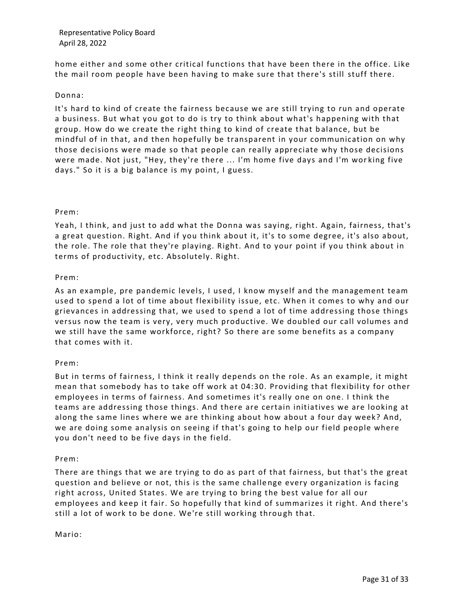home either and some other critical functions that have been there in the office. Like the mail room people have been having to make sure that there's still stuff there.

## Donna:

It's hard to kind of create the fairness because we are still trying to run and operate a business. But what you got to do is try to think about what's happening with that group. How do we create the right thing to kind of create that b alance, but be mindful of in that, and then hopefully be transparent in your communication on why those decisions were made so that people can really appreciate why those decisions were made. Not just, "Hey, they're there ... I'm home five days and I'm wor king five days." So it is a big balance is my point, I guess.

## Prem:

Yeah, I think, and just to add what the Donna was saying, right. Again, fairness, that's a great question. Right. And if you think about it, it's to some degree, it's also about, the role. The role that they're playing. Right. And to your point if you think about in terms of productivity, etc. Absolutely. Right.

## Prem:

As an example, pre pandemic levels, I used, I know myself and the management team used to spend a lot of time about flexibility issue, etc. When it comes to why and our grievances in addressing that, we used to spend a lot of time addressing those things versus now the team is very, very much productive. We doubled our call volumes and we still have the same workforce, right? So there are some benefits as a company that comes with it.

#### Prem:

But in terms of fairness, I think it really depends on the role. As an example, it might mean that somebody has to take off work at 04:30. Providing that flexibility for other employees in terms of fairness. And sometimes it's really one on one. I think the teams are addressing those things. And there are certain initiatives we are looking at along the same lines where we are thinking about how about a four day week? And, we are doing some analysis on seeing if that's going to help our field people where you don't need to be five days in the field.

#### Prem:

There are things that we are trying to do as part of that fairness, but that's the great question and believe or not, this is the same challenge every organization is facing right across, United States. We are trying to bring the best value for all our employees and keep it fair. So hopefully that kind of summarizes it right. And there's still a lot of work to be done. We're still working through that.

Mario: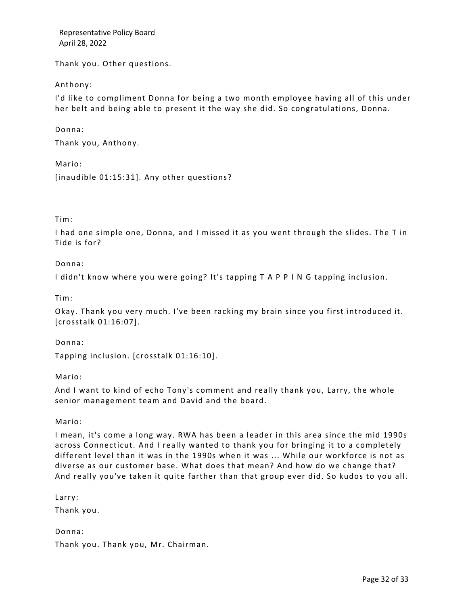Thank you. Other questions.

## Anthony:

I'd like to compliment Donna for being a two month employee having all of this under her belt and being able to present it the way she did. So congratulations, Donna.

## Donna:

Thank you, Anthony.

Mario:

[inaudible 01:15:31]. Any other questions?

## Tim:

I had one simple one, Donna, and I missed it as you went through the slides. The T in Tide is for?

## Donna:

I didn't know where you were going? It's tapping T A P P I N G tapping inclusion.

Tim:

Okay. Thank you very much. I've been racking my brain since you first introduced it. [crosstalk 01:16:07].

Donna:

Tapping inclusion. [crosstalk 01:16:10].

Mario:

And I want to kind of echo Tony's comment and really thank you, Larry, the whole senior management team and David and the board.

Mario:

I mean, it's come a long way. RWA has been a leader in this area since the mid 1990s across Connecticut. And I really wanted to thank you for bringing it to a completely different level than it was in the 1990s when it was ... While our workforce is not as diverse as our customer base. What does that mean? And how do we change that? And really you've taken it quite farther than that group ever did. So kudos to you all.

Larry:

Thank you.

Donna:

Thank you. Thank you, Mr. Chairman.